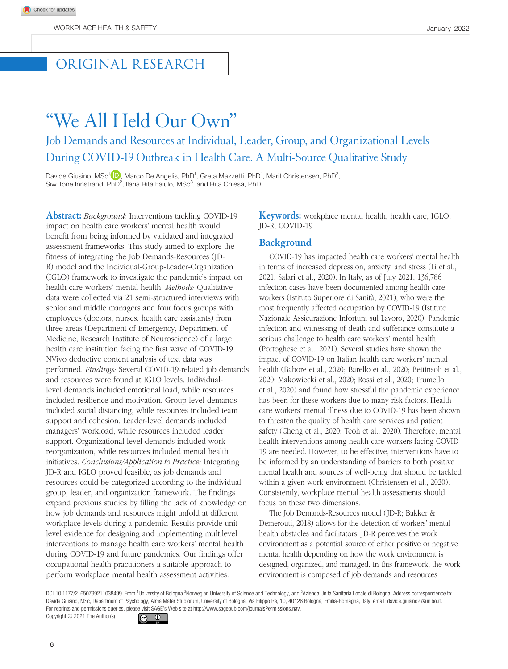## ORIGINAL RESEARCH

# "We All Held Our Own" Job Demands and Resources at Individual, Leader, Group, and Organizational Levels During COVID-19 Outbreak in Health Care. A Multi-Source Qualitative Study

Davide Giusino, MSc<sup>1</sup><sup>(D</sup>), Marco De Angelis, PhD<sup>1</sup>, Greta Mazzetti, PhD<sup>1</sup>, Marit Christensen, PhD<sup>2</sup>, Siw Tone Innstrand,  $PhD^2$ , Ilaria Rita Faiulo, MSc<sup>3</sup>, and Rita Chiesa,  $PhD^1$ 

**Abstract:** *Background:* Interventions tackling COVID-19 impact on health care workers' mental health would benefit from being informed by validated and integrated assessment frameworks. This study aimed to explore the fitness of integrating the Job Demands-Resources (JD-R) model and the Individual-Group-Leader-Organization (IGLO) framework to investigate the pandemic's impact on health care workers' mental health. *Methods:* Qualitative data were collected via 21 semi-structured interviews with senior and middle managers and four focus groups with employees (doctors, nurses, health care assistants) from three areas (Department of Emergency, Department of Medicine, Research Institute of Neuroscience) of a large health care institution facing the first wave of COVID-19. NVivo deductive content analysis of text data was performed. *Findings:* Several COVID-19-related job demands and resources were found at IGLO levels. Individuallevel demands included emotional load, while resources included resilience and motivation. Group-level demands included social distancing, while resources included team support and cohesion. Leader-level demands included managers' workload, while resources included leader support. Organizational-level demands included work reorganization, while resources included mental health initiatives. *Conclusions/Application to Practice:* Integrating JD-R and IGLO proved feasible, as job demands and resources could be categorized according to the individual, group, leader, and organization framework. The findings expand previous studies by filling the lack of knowledge on how job demands and resources might unfold at different workplace levels during a pandemic. Results provide unitlevel evidence for designing and implementing multilevel interventions to manage health care workers' mental health during COVID-19 and future pandemics. Our findings offer occupational health practitioners a suitable approach to perform workplace mental health assessment activities.

**Keywords:** workplace mental health, health care, IGLO, JD-R, COVID-19

#### **Background**

COVID-19 has impacted health care workers' mental health in terms of increased depression, anxiety, and stress (Li et al., 2021; Salari et al., 2020). In Italy, as of July 2021, 136,786 infection cases have been documented among health care workers (Istituto Superiore di Sanità, 2021), who were the most frequently affected occupation by COVID-19 (Istituto Nazionale Assicurazione Infortuni sul Lavoro, 2020). Pandemic infection and witnessing of death and sufferance constitute a serious challenge to health care workers' mental health (Portoghese et al., 2021). Several studies have shown the impact of COVID-19 on Italian health care workers' mental health (Babore et al., 2020; Barello et al., 2020; Bettinsoli et al., 2020; Makowiecki et al., 2020; Rossi et al., 2020; Trumello et al., 2020) and found how stressful the pandemic experience has been for these workers due to many risk factors. Health care workers' mental illness due to COVID-19 has been shown to threaten the quality of health care services and patient safety (Cheng et al., 2020; Teoh et al., 2020). Therefore, mental health interventions among health care workers facing COVID-19 are needed. However, to be effective, interventions have to be informed by an understanding of barriers to both positive mental health and sources of well-being that should be tackled within a given work environment (Christensen et al., 2020). Consistently, workplace mental health assessments should focus on these two dimensions.

The Job Demands-Resources model (JD-R; Bakker & Demerouti, 2018) allows for the detection of workers' mental health obstacles and facilitators. JD-R perceives the work environment as a potential source of either positive or negative mental health depending on how the work environment is designed, organized, and managed. In this framework, the work environment is composed of job demands and resources

DOI:10.1177/21650799211038499. From <sup>1</sup>University of Bologna <sup>2</sup>Norwegian University of Science and Technology, and <sup>3</sup>Azienda Unità Sanitaria Locale di Bologna. Address correspondence to: Davide Giusino, MSc, Department of Psychology, Alma Mater Studiorum, University of Bologna, Via Filippo Re, 10, 40126 Bologna, Emilia-Romagna, Italy; email: [davide.giusino2@unibo.it](mailto:davide.giusino2@unibo.it). For reprints and permissions queries, please visit SAGE's Web site at<http://www.sagepub.com/journalsPermissions.nav>. Copyright © 2021 The Author(s)

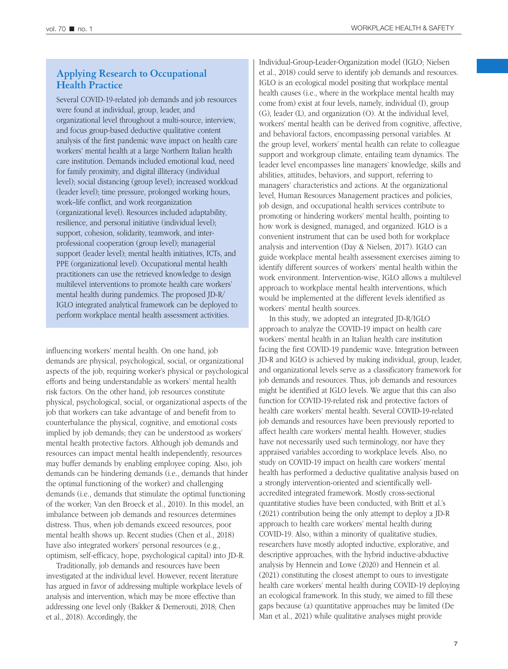## **Applying Research to Occupational Health Practice**

Several COVID-19-related job demands and job resources were found at individual, group, leader, and organizational level throughout a multi-source, interview, and focus group-based deductive qualitative content analysis of the first pandemic wave impact on health care workers' mental health at a large Northern Italian health care institution. Demands included emotional load, need for family proximity, and digital illiteracy (individual level); social distancing (group level); increased workload (leader level); time pressure, prolonged working hours, work–life conflict, and work reorganization (organizational level). Resources included adaptability, resilience, and personal initiative (individual level); support, cohesion, solidarity, teamwork, and interprofessional cooperation (group level); managerial support (leader level); mental health initiatives, ICTs, and PPE (organizational level). Occupational mental health practitioners can use the retrieved knowledge to design multilevel interventions to promote health care workers' mental health during pandemics. The proposed JD-R/ IGLO integrated analytical framework can be deployed to perform workplace mental health assessment activities.

influencing workers' mental health. On one hand, job demands are physical, psychological, social, or organizational aspects of the job, requiring worker's physical or psychological efforts and being understandable as workers' mental health risk factors. On the other hand, job resources constitute physical, psychological, social, or organizational aspects of the job that workers can take advantage of and benefit from to counterbalance the physical, cognitive, and emotional costs implied by job demands; they can be understood as workers' mental health protective factors. Although job demands and resources can impact mental health independently, resources may buffer demands by enabling employee coping. Also, job demands can be hindering demands (i.e., demands that hinder the optimal functioning of the worker) and challenging demands (i.e., demands that stimulate the optimal functioning of the worker; Van den Broeck et al., 2010). In this model, an imbalance between job demands and resources determines distress. Thus, when job demands exceed resources, poor mental health shows up. Recent studies (Chen et al., 2018) have also integrated workers' personal resources (e.g., optimism, self-efficacy, hope, psychological capital) into JD-R.

Traditionally, job demands and resources have been investigated at the individual level. However, recent literature has argued in favor of addressing multiple workplace levels of analysis and intervention, which may be more effective than addressing one level only (Bakker & Demerouti, 2018; Chen et al., 2018). Accordingly, the

Individual-Group-Leader-Organization model (IGLO; Nielsen et al., 2018) could serve to identify job demands and resources. IGLO is an ecological model positing that workplace mental health causes (i.e., where in the workplace mental health may come from) exist at four levels, namely, individual (I), group (G), leader (L), and organization (O). At the individual level, workers' mental health can be derived from cognitive, affective, and behavioral factors, encompassing personal variables. At the group level, workers' mental health can relate to colleague support and workgroup climate, entailing team dynamics. The leader level encompasses line managers' knowledge, skills and abilities, attitudes, behaviors, and support, referring to managers' characteristics and actions. At the organizational level, Human Resources Management practices and policies, job design, and occupational health services contribute to promoting or hindering workers' mental health, pointing to how work is designed, managed, and organized. IGLO is a convenient instrument that can be used both for workplace analysis and intervention (Day & Nielsen, 2017). IGLO can guide workplace mental health assessment exercises aiming to identify different sources of workers' mental health within the work environment. Intervention-wise, IGLO allows a multilevel approach to workplace mental health interventions, which would be implemented at the different levels identified as workers' mental health sources.

In this study, we adopted an integrated JD-R/IGLO approach to analyze the COVID-19 impact on health care workers' mental health in an Italian health care institution facing the first COVID-19 pandemic wave. Integration between JD-R and IGLO is achieved by making individual, group, leader, and organizational levels serve as a classificatory framework for job demands and resources. Thus, job demands and resources might be identified at IGLO levels. We argue that this can also function for COVID-19-related risk and protective factors of health care workers' mental health. Several COVID-19-related job demands and resources have been previously reported to affect health care workers' mental health. However, studies have not necessarily used such terminology, nor have they appraised variables according to workplace levels. Also, no study on COVID-19 impact on health care workers' mental health has performed a deductive qualitative analysis based on a strongly intervention-oriented and scientifically wellaccredited integrated framework. Mostly cross-sectional quantitative studies have been conducted, with Britt et al.'s (2021) contribution being the only attempt to deploy a JD-R approach to health care workers' mental health during COVID-19. Also, within a minority of qualitative studies, researchers have mostly adopted inductive, explorative, and descriptive approaches, with the hybrid inductive-abductive analysis by Hennein and Lowe (2020) and Hennein et al. (2021) constituting the closest attempt to ours to investigate health care workers' mental health during COVID-19 deploying an ecological framework. In this study, we aimed to fill these gaps because (a) quantitative approaches may be limited (De Man et al., 2021) while qualitative analyses might provide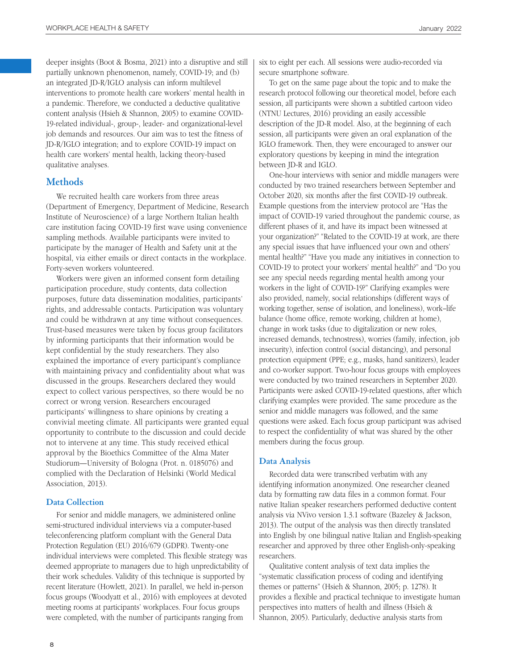deeper insights (Boot & Bosma, 2021) into a disruptive and still partially unknown phenomenon, namely, COVID-19; and (b) an integrated JD-R/IGLO analysis can inform multilevel interventions to promote health care workers' mental health in a pandemic. Therefore, we conducted a deductive qualitative content analysis (Hsieh & Shannon, 2005) to examine COVID-19-related individual-, group-, leader- and organizational-level job demands and resources. Our aim was to test the fitness of JD-R/IGLO integration; and to explore COVID-19 impact on health care workers' mental health, lacking theory-based qualitative analyses.

## **Methods**

We recruited health care workers from three areas (Department of Emergency, Department of Medicine, Research Institute of Neuroscience) of a large Northern Italian health care institution facing COVID-19 first wave using convenience sampling methods. Available participants were invited to participate by the manager of Health and Safety unit at the hospital, via either emails or direct contacts in the workplace. Forty-seven workers volunteered.

Workers were given an informed consent form detailing participation procedure, study contents, data collection purposes, future data dissemination modalities, participants' rights, and addressable contacts. Participation was voluntary and could be withdrawn at any time without consequences. Trust-based measures were taken by focus group facilitators by informing participants that their information would be kept confidential by the study researchers. They also explained the importance of every participant's compliance with maintaining privacy and confidentiality about what was discussed in the groups. Researchers declared they would expect to collect various perspectives, so there would be no correct or wrong version. Researchers encouraged participants' willingness to share opinions by creating a convivial meeting climate. All participants were granted equal opportunity to contribute to the discussion and could decide not to intervene at any time. This study received ethical approval by the Bioethics Committee of the Alma Mater Studiorum—University of Bologna (Prot. n. 0185076) and complied with the Declaration of Helsinki (World Medical Association, 2013).

#### **Data Collection**

For senior and middle managers, we administered online semi-structured individual interviews via a computer-based teleconferencing platform compliant with the General Data Protection Regulation (EU) 2016/679 (GDPR). Twenty-one individual interviews were completed. This flexible strategy was deemed appropriate to managers due to high unpredictability of their work schedules. Validity of this technique is supported by recent literature (Howlett, 2021). In parallel, we held in-person focus groups (Woodyatt et al., 2016) with employees at devoted meeting rooms at participants' workplaces. Four focus groups were completed, with the number of participants ranging from

six to eight per each. All sessions were audio-recorded via secure smartphone software.

To get on the same page about the topic and to make the research protocol following our theoretical model, before each session, all participants were shown a subtitled cartoon video (NTNU Lectures, 2016) providing an easily accessible description of the JD-R model. Also, at the beginning of each session, all participants were given an oral explanation of the IGLO framework. Then, they were encouraged to answer our exploratory questions by keeping in mind the integration between JD-R and IGLO.

One-hour interviews with senior and middle managers were conducted by two trained researchers between September and October 2020, six months after the first COVID-19 outbreak. Example questions from the interview protocol are "Has the impact of COVID-19 varied throughout the pandemic course, as different phases of it, and have its impact been witnessed at your organization?" "Related to the COVID-19 at work, are there any special issues that have influenced your own and others' mental health?" "Have you made any initiatives in connection to COVID-19 to protect your workers' mental health?" and "Do you see any special needs regarding mental health among your workers in the light of COVID-19?" Clarifying examples were also provided, namely, social relationships (different ways of working together, sense of isolation, and loneliness), work–life balance (home office, remote working, children at home), change in work tasks (due to digitalization or new roles, increased demands, technostress), worries (family, infection, job insecurity), infection control (social distancing), and personal protection equipment (PPE; e.g., masks, hand sanitizers), leader and co-worker support. Two-hour focus groups with employees were conducted by two trained researchers in September 2020. Participants were asked COVID-19-related questions, after which clarifying examples were provided. The same procedure as the senior and middle managers was followed, and the same questions were asked. Each focus group participant was advised to respect the confidentiality of what was shared by the other members during the focus group.

#### **Data Analysis**

Recorded data were transcribed verbatim with any identifying information anonymized. One researcher cleaned data by formatting raw data files in a common format. Four native Italian speaker researchers performed deductive content analysis via NVivo version 1.3.1 software (Bazeley & Jackson, 2013). The output of the analysis was then directly translated into English by one bilingual native Italian and English-speaking researcher and approved by three other English-only-speaking researchers.

Qualitative content analysis of text data implies the "systematic classification process of coding and identifying themes or patterns" (Hsieh & Shannon, 2005; p. 1278). It provides a flexible and practical technique to investigate human perspectives into matters of health and illness (Hsieh & Shannon, 2005). Particularly, deductive analysis starts from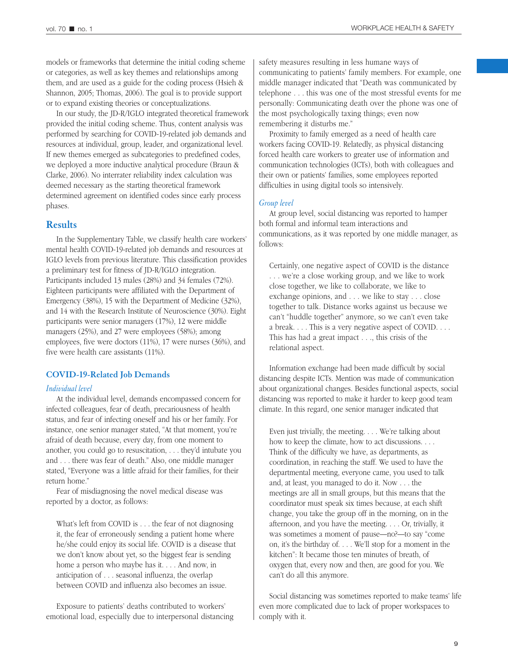models or frameworks that determine the initial coding scheme or categories, as well as key themes and relationships among them, and are used as a guide for the coding process (Hsieh & Shannon, 2005; Thomas, 2006). The goal is to provide support or to expand existing theories or conceptualizations.

In our study, the JD-R/IGLO integrated theoretical framework provided the initial coding scheme. Thus, content analysis was performed by searching for COVID-19-related job demands and resources at individual, group, leader, and organizational level. If new themes emerged as subcategories to predefined codes, we deployed a more inductive analytical procedure (Braun & Clarke, 2006). No interrater reliability index calculation was deemed necessary as the starting theoretical framework determined agreement on identified codes since early process phases.

#### **Results**

In the Supplementary Table, we classify health care workers' mental health COVID-19-related job demands and resources at IGLO levels from previous literature. This classification provides a preliminary test for fitness of JD-R/IGLO integration. Participants included 13 males (28%) and 34 females (72%). Eighteen participants were affiliated with the Department of Emergency (38%), 15 with the Department of Medicine (32%), and 14 with the Research Institute of Neuroscience (30%). Eight participants were senior managers (17%), 12 were middle managers (25%), and 27 were employees (58%); among employees, five were doctors (11%), 17 were nurses (36%), and five were health care assistants (11%).

#### **COVID-19-Related Job Demands**

#### *Individual level*

At the individual level, demands encompassed concern for infected colleagues, fear of death, precariousness of health status, and fear of infecting oneself and his or her family. For instance, one senior manager stated, "At that moment, you're afraid of death because, every day, from one moment to another, you could go to resuscitation, . . . they'd intubate you and . . . there was fear of death." Also, one middle manager stated, "Everyone was a little afraid for their families, for their return home."

Fear of misdiagnosing the novel medical disease was reported by a doctor, as follows:

What's left from COVID is . . . the fear of not diagnosing it, the fear of erroneously sending a patient home where he/she could enjoy its social life. COVID is a disease that we don't know about yet, so the biggest fear is sending home a person who maybe has it. . . . And now, in anticipation of . . . seasonal influenza, the overlap between COVID and influenza also becomes an issue.

Exposure to patients' deaths contributed to workers' emotional load, especially due to interpersonal distancing

safety measures resulting in less humane ways of communicating to patients' family members. For example, one middle manager indicated that "Death was communicated by telephone . . . this was one of the most stressful events for me personally: Communicating death over the phone was one of the most psychologically taxing things; even now remembering it disturbs me."

Proximity to family emerged as a need of health care workers facing COVID-19. Relatedly, as physical distancing forced health care workers to greater use of information and communication technologies (ICTs), both with colleagues and their own or patients' families, some employees reported difficulties in using digital tools so intensively.

#### *Group level*

At group level, social distancing was reported to hamper both formal and informal team interactions and communications, as it was reported by one middle manager, as follows:

Certainly, one negative aspect of COVID is the distance . . . we're a close working group, and we like to work close together, we like to collaborate, we like to exchange opinions, and . . . we like to stay . . . close together to talk. Distance works against us because we can't "huddle together" anymore, so we can't even take a break. . . . This is a very negative aspect of COVID. . . . This has had a great impact . . ., this crisis of the relational aspect.

Information exchange had been made difficult by social distancing despite ICTs. Mention was made of communication about organizational changes. Besides functional aspects, social distancing was reported to make it harder to keep good team climate. In this regard, one senior manager indicated that

Even just trivially, the meeting. . . . We're talking about how to keep the climate, how to act discussions. . . . Think of the difficulty we have, as departments, as coordination, in reaching the staff. We used to have the departmental meeting, everyone came, you used to talk and, at least, you managed to do it. Now . . . the meetings are all in small groups, but this means that the coordinator must speak six times because, at each shift change, you take the group off in the morning, on in the afternoon, and you have the meeting. . . . Or, trivially, it was sometimes a moment of pause—no?—to say "come on, it's the birthday of. . . . We'll stop for a moment in the kitchen": It became those ten minutes of breath, of oxygen that, every now and then, are good for you. We can't do all this anymore.

Social distancing was sometimes reported to make teams' life even more complicated due to lack of proper workspaces to comply with it.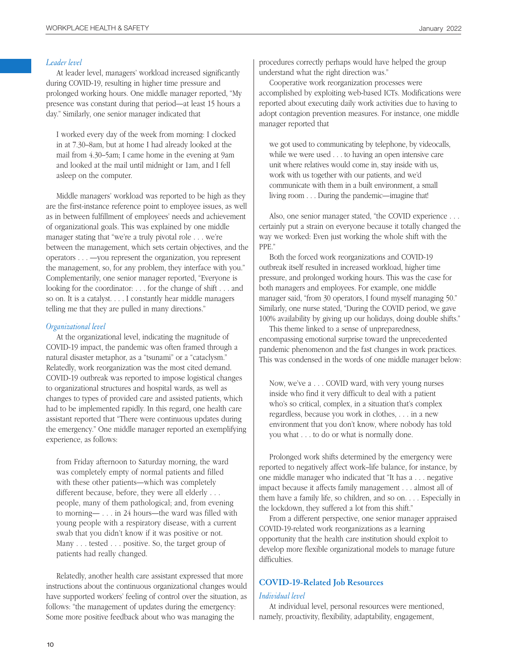#### *Leader level*

At leader level, managers' workload increased significantly during COVID-19, resulting in higher time pressure and prolonged working hours. One middle manager reported, "My presence was constant during that period—at least 15 hours a day." Similarly, one senior manager indicated that

I worked every day of the week from morning: I clocked in at 7.30–8am, but at home I had already looked at the mail from 4.30–5am; I came home in the evening at 9am and looked at the mail until midnight or 1am, and I fell asleep on the computer.

Middle managers' workload was reported to be high as they are the first-instance reference point to employee issues, as well as in between fulfillment of employees' needs and achievement of organizational goals. This was explained by one middle manager stating that "we're a truly pivotal role . . . we're between the management, which sets certain objectives, and the operators . . . —you represent the organization, you represent the management, so, for any problem, they interface with you." Complementarily, one senior manager reported, "Everyone is looking for the coordinator: . . . for the change of shift . . . and so on. It is a catalyst. . . . I constantly hear middle managers telling me that they are pulled in many directions."

#### *Organizational level*

At the organizational level, indicating the magnitude of COVID-19 impact, the pandemic was often framed through a natural disaster metaphor, as a "tsunami" or a "cataclysm." Relatedly, work reorganization was the most cited demand. COVID-19 outbreak was reported to impose logistical changes to organizational structures and hospital wards, as well as changes to types of provided care and assisted patients, which had to be implemented rapidly. In this regard, one health care assistant reported that "There were continuous updates during the emergency." One middle manager reported an exemplifying experience, as follows:

from Friday afternoon to Saturday morning, the ward was completely empty of normal patients and filled with these other patients—which was completely different because, before, they were all elderly . . . people, many of them pathological; and, from evening to morning— . . . in 24 hours—the ward was filled with young people with a respiratory disease, with a current swab that you didn't know if it was positive or not. Many . . . tested . . . positive. So, the target group of patients had really changed.

Relatedly, another health care assistant expressed that more instructions about the continuous organizational changes would have supported workers' feeling of control over the situation, as follows: "the management of updates during the emergency: Some more positive feedback about who was managing the

procedures correctly perhaps would have helped the group understand what the right direction was."

Cooperative work reorganization processes were accomplished by exploiting web-based ICTs. Modifications were reported about executing daily work activities due to having to adopt contagion prevention measures. For instance, one middle manager reported that

we got used to communicating by telephone, by videocalls, while we were used . . . to having an open intensive care unit where relatives would come in, stay inside with us, work with us together with our patients, and we'd communicate with them in a built environment, a small living room . . . During the pandemic—imagine that!

Also, one senior manager stated, "the COVID experience . . . certainly put a strain on everyone because it totally changed the way we worked: Even just working the whole shift with the PPE."

Both the forced work reorganizations and COVID-19 outbreak itself resulted in increased workload, higher time pressure, and prolonged working hours. This was the case for both managers and employees. For example, one middle manager said, "from 30 operators, I found myself managing 50." Similarly, one nurse stated, "During the COVID period, we gave 100% availability by giving up our holidays, doing double shifts."

This theme linked to a sense of unpreparedness, encompassing emotional surprise toward the unprecedented pandemic phenomenon and the fast changes in work practices. This was condensed in the words of one middle manager below:

Now, we've a . . . COVID ward, with very young nurses inside who find it very difficult to deal with a patient who's so critical, complex, in a situation that's complex regardless, because you work in clothes, . . . in a new environment that you don't know, where nobody has told you what . . . to do or what is normally done.

Prolonged work shifts determined by the emergency were reported to negatively affect work–life balance, for instance, by one middle manager who indicated that "It has a . . . negative impact because it affects family management . . . almost all of them have a family life, so children, and so on. . . . Especially in the lockdown, they suffered a lot from this shift."

From a different perspective, one senior manager appraised COVID-19-related work reorganizations as a learning opportunity that the health care institution should exploit to develop more flexible organizational models to manage future difficulties.

## **COVID-19-Related Job Resources**

#### *Individual level*

At individual level, personal resources were mentioned, namely, proactivity, flexibility, adaptability, engagement,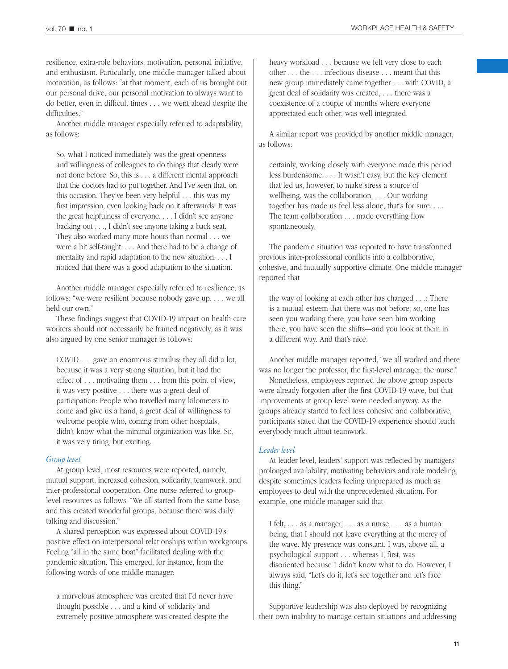resilience, extra-role behaviors, motivation, personal initiative, and enthusiasm. Particularly, one middle manager talked about motivation, as follows: "at that moment, each of us brought out our personal drive, our personal motivation to always want to do better, even in difficult times . . . we went ahead despite the difficulties."

Another middle manager especially referred to adaptability, as follows:

So, what I noticed immediately was the great openness and willingness of colleagues to do things that clearly were not done before. So, this is . . . a different mental approach that the doctors had to put together. And I've seen that, on this occasion. They've been very helpful . . . this was my first impression, even looking back on it afterwards: It was the great helpfulness of everyone. . . . I didn't see anyone backing out . . ., I didn't see anyone taking a back seat. They also worked many more hours than normal . . . we were a bit self-taught. . . . And there had to be a change of mentality and rapid adaptation to the new situation. . . . I noticed that there was a good adaptation to the situation.

Another middle manager especially referred to resilience, as follows: "we were resilient because nobody gave up. . . . we all held our own."

These findings suggest that COVID-19 impact on health care workers should not necessarily be framed negatively, as it was also argued by one senior manager as follows:

COVID . . . gave an enormous stimulus; they all did a lot, because it was a very strong situation, but it had the effect of . . . motivating them . . . from this point of view, it was very positive . . . there was a great deal of participation: People who travelled many kilometers to come and give us a hand, a great deal of willingness to welcome people who, coming from other hospitals, didn't know what the minimal organization was like. So, it was very tiring, but exciting.

#### *Group level*

At group level, most resources were reported, namely, mutual support, increased cohesion, solidarity, teamwork, and inter-professional cooperation. One nurse referred to grouplevel resources as follows: "We all started from the same base, and this created wonderful groups, because there was daily talking and discussion."

A shared perception was expressed about COVID-19's positive effect on interpersonal relationships within workgroups. Feeling "all in the same boat" facilitated dealing with the pandemic situation. This emerged, for instance, from the following words of one middle manager:

a marvelous atmosphere was created that I'd never have thought possible . . . and a kind of solidarity and extremely positive atmosphere was created despite the

heavy workload . . . because we felt very close to each other . . . the . . . infectious disease . . . meant that this new group immediately came together . . . with COVID, a great deal of solidarity was created, . . . there was a coexistence of a couple of months where everyone appreciated each other, was well integrated.

A similar report was provided by another middle manager, as follows:

certainly, working closely with everyone made this period less burdensome. . . . It wasn't easy, but the key element that led us, however, to make stress a source of wellbeing, was the collaboration. . . . Our working together has made us feel less alone, that's for sure. . . . The team collaboration . . . made everything flow spontaneously.

The pandemic situation was reported to have transformed previous inter-professional conflicts into a collaborative, cohesive, and mutually supportive climate. One middle manager reported that

the way of looking at each other has changed . . .: There is a mutual esteem that there was not before; so, one has seen you working there, you have seen him working there, you have seen the shifts—and you look at them in a different way. And that's nice.

Another middle manager reported, "we all worked and there was no longer the professor, the first-level manager, the nurse."

Nonetheless, employees reported the above group aspects were already forgotten after the first COVID-19 wave, but that improvements at group level were needed anyway. As the groups already started to feel less cohesive and collaborative, participants stated that the COVID-19 experience should teach everybody much about teamwork.

#### *Leader level*

At leader level, leaders' support was reflected by managers' prolonged availability, motivating behaviors and role modeling, despite sometimes leaders feeling unprepared as much as employees to deal with the unprecedented situation. For example, one middle manager said that

I felt, . . . as a manager, . . . as a nurse, . . . as a human being, that I should not leave everything at the mercy of the wave. My presence was constant. I was, above all, a psychological support . . . whereas I, first, was disoriented because I didn't know what to do. However, I always said, "Let's do it, let's see together and let's face this thing."

Supportive leadership was also deployed by recognizing their own inability to manage certain situations and addressing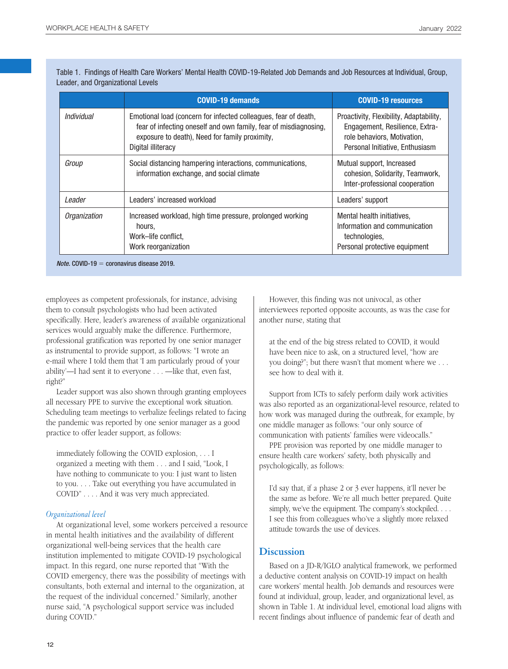Table 1. Findings of Health Care Workers' Mental Health COVID-19-Related Job Demands and Job Resources at Individual, Group, Leader, and Organizational Levels

|              | <b>COVID-19 demands</b>                                                                                                                                                                                     | <b>COVID-19 resources</b>                                                                                                                   |
|--------------|-------------------------------------------------------------------------------------------------------------------------------------------------------------------------------------------------------------|---------------------------------------------------------------------------------------------------------------------------------------------|
| Individual   | Emotional load (concern for infected colleagues, fear of death,<br>fear of infecting oneself and own family, fear of misdiagnosing,<br>exposure to death), Need for family proximity,<br>Digital illiteracy | Proactivity, Flexibility, Adaptability,<br>Engagement, Resilience, Extra-<br>role behaviors, Motivation,<br>Personal Initiative, Enthusiasm |
| Group        | Social distancing hampering interactions, communications,<br>information exchange, and social climate                                                                                                       | Mutual support, Increased<br>cohesion, Solidarity, Teamwork,<br>Inter-professional cooperation                                              |
| Leader       | Leaders' increased workload                                                                                                                                                                                 | Leaders' support                                                                                                                            |
| Organization | Increased workload, high time pressure, prolonged working<br>hours,<br>Work-life conflict.<br>Work reorganization                                                                                           | Mental health initiatives,<br>Information and communication<br>technologies,<br>Personal protective equipment                               |

*Note.* COVID-19 = coronavirus disease 2019.

employees as competent professionals, for instance, advising them to consult psychologists who had been activated specifically. Here, leader's awareness of available organizational services would arguably make the difference. Furthermore, professional gratification was reported by one senior manager as instrumental to provide support, as follows: "I wrote an e-mail where I told them that 'I am particularly proud of your ability'—I had sent it to everyone . . . —like that, even fast, right?"

Leader support was also shown through granting employees all necessary PPE to survive the exceptional work situation. Scheduling team meetings to verbalize feelings related to facing the pandemic was reported by one senior manager as a good practice to offer leader support, as follows:

immediately following the COVID explosion, . . . I organized a meeting with them . . . and I said, "Look, I have nothing to communicate to you: I just want to listen to you. . . . Take out everything you have accumulated in COVID" . . . . And it was very much appreciated.

#### *Organizational level*

At organizational level, some workers perceived a resource in mental health initiatives and the availability of different organizational well-being services that the health care institution implemented to mitigate COVID-19 psychological impact. In this regard, one nurse reported that "With the COVID emergency, there was the possibility of meetings with consultants, both external and internal to the organization, at the request of the individual concerned." Similarly, another nurse said, "A psychological support service was included during COVID."

However, this finding was not univocal, as other interviewees reported opposite accounts, as was the case for another nurse, stating that

at the end of the big stress related to COVID, it would have been nice to ask, on a structured level, "how are you doing?"; but there wasn't that moment where we . . . see how to deal with it.

Support from ICTs to safely perform daily work activities was also reported as an organizational-level resource, related to how work was managed during the outbreak, for example, by one middle manager as follows: "our only source of communication with patients' families were videocalls."

PPE provision was reported by one middle manager to ensure health care workers' safety, both physically and psychologically, as follows:

I'd say that, if a phase 2 or 3 ever happens, it'll never be the same as before. We're all much better prepared. Quite simply, we've the equipment. The company's stockpiled. . . . I see this from colleagues who've a slightly more relaxed attitude towards the use of devices.

## **Discussion**

Based on a JD-R/IGLO analytical framework, we performed a deductive content analysis on COVID-19 impact on health care workers' mental health. Job demands and resources were found at individual, group, leader, and organizational level, as shown in Table 1. At individual level, emotional load aligns with recent findings about influence of pandemic fear of death and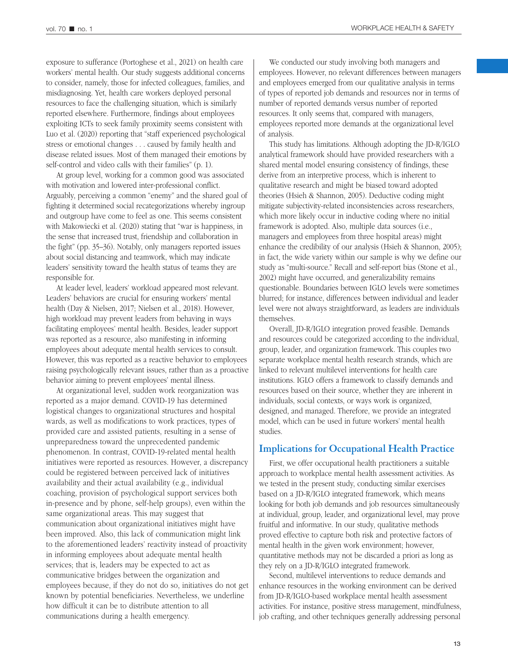exposure to sufferance (Portoghese et al., 2021) on health care workers' mental health. Our study suggests additional concerns to consider, namely, those for infected colleagues, families, and misdiagnosing. Yet, health care workers deployed personal resources to face the challenging situation, which is similarly reported elsewhere. Furthermore, findings about employees exploiting ICTs to seek family proximity seems consistent with Luo et al. (2020) reporting that "staff experienced psychological stress or emotional changes . . . caused by family health and disease related issues. Most of them managed their emotions by self-control and video calls with their families" (p. 1).

At group level, working for a common good was associated with motivation and lowered inter-professional conflict. Arguably, perceiving a common "enemy" and the shared goal of fighting it determined social recategorizations whereby ingroup and outgroup have come to feel as one. This seems consistent with Makowiecki et al. (2020) stating that "war is happiness, in the sense that increased trust, friendship and collaboration in the fight" (pp. 35–36). Notably, only managers reported issues about social distancing and teamwork, which may indicate leaders' sensitivity toward the health status of teams they are responsible for.

At leader level, leaders' workload appeared most relevant. Leaders' behaviors are crucial for ensuring workers' mental health (Day & Nielsen, 2017; Nielsen et al., 2018). However, high workload may prevent leaders from behaving in ways facilitating employees' mental health. Besides, leader support was reported as a resource, also manifesting in informing employees about adequate mental health services to consult. However, this was reported as a reactive behavior to employees raising psychologically relevant issues, rather than as a proactive behavior aiming to prevent employees' mental illness.

At organizational level, sudden work reorganization was reported as a major demand. COVID-19 has determined logistical changes to organizational structures and hospital wards, as well as modifications to work practices, types of provided care and assisted patients, resulting in a sense of unpreparedness toward the unprecedented pandemic phenomenon. In contrast, COVID-19-related mental health initiatives were reported as resources. However, a discrepancy could be registered between perceived lack of initiatives availability and their actual availability (e.g., individual coaching, provision of psychological support services both in-presence and by phone, self-help groups), even within the same organizational areas. This may suggest that communication about organizational initiatives might have been improved. Also, this lack of communication might link to the aforementioned leaders' reactivity instead of proactivity in informing employees about adequate mental health services; that is, leaders may be expected to act as communicative bridges between the organization and employees because, if they do not do so, initiatives do not get known by potential beneficiaries. Nevertheless, we underline how difficult it can be to distribute attention to all communications during a health emergency.

We conducted our study involving both managers and employees. However, no relevant differences between managers and employees emerged from our qualitative analysis in terms of types of reported job demands and resources nor in terms of number of reported demands versus number of reported resources. It only seems that, compared with managers, employees reported more demands at the organizational level of analysis.

This study has limitations. Although adopting the JD-R/IGLO analytical framework should have provided researchers with a shared mental model ensuring consistency of findings, these derive from an interpretive process, which is inherent to qualitative research and might be biased toward adopted theories (Hsieh & Shannon, 2005). Deductive coding might mitigate subjectivity-related inconsistencies across researchers, which more likely occur in inductive coding where no initial framework is adopted. Also, multiple data sources (i.e., managers and employees from three hospital areas) might enhance the credibility of our analysis (Hsieh & Shannon, 2005); in fact, the wide variety within our sample is why we define our study as "multi-source." Recall and self-report bias (Stone et al., 2002) might have occurred, and generalizability remains questionable. Boundaries between IGLO levels were sometimes blurred; for instance, differences between individual and leader level were not always straightforward, as leaders are individuals themselves.

Overall, JD-R/IGLO integration proved feasible. Demands and resources could be categorized according to the individual, group, leader, and organization framework. This couples two separate workplace mental health research strands, which are linked to relevant multilevel interventions for health care institutions. IGLO offers a framework to classify demands and resources based on their source, whether they are inherent in individuals, social contexts, or ways work is organized, designed, and managed. Therefore, we provide an integrated model, which can be used in future workers' mental health studies.

#### **Implications for Occupational Health Practice**

First, we offer occupational health practitioners a suitable approach to workplace mental health assessment activities. As we tested in the present study, conducting similar exercises based on a JD-R/IGLO integrated framework, which means looking for both job demands and job resources simultaneously at individual, group, leader, and organizational level, may prove fruitful and informative. In our study, qualitative methods proved effective to capture both risk and protective factors of mental health in the given work environment; however, quantitative methods may not be discarded a priori as long as they rely on a JD-R/IGLO integrated framework.

Second, multilevel interventions to reduce demands and enhance resources in the working environment can be derived from JD-R/IGLO-based workplace mental health assessment activities. For instance, positive stress management, mindfulness, job crafting, and other techniques generally addressing personal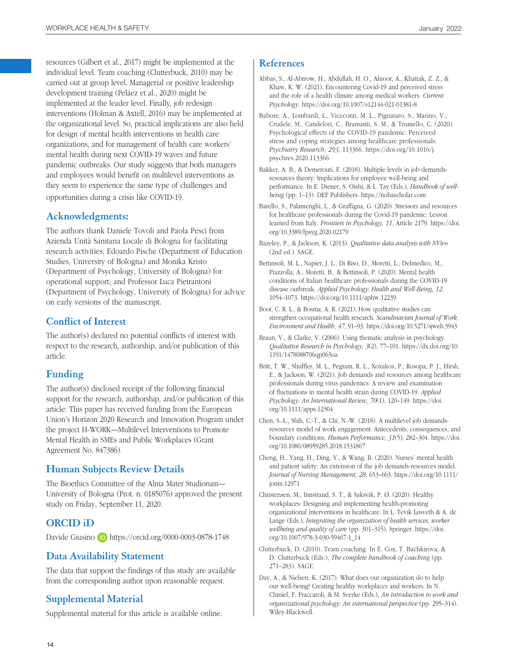resources (Gilbert et al., 2017) might be implemented at the individual level. Team coaching (Clutterbuck, 2010) may be carried out at group level. Managerial or positive leadership development training (Peláez et al., 2020) might be implemented at the leader level. Finally, job redesign interventions (Holman & Axtell, 2016) may be implemented at the organizational level. So, practical implications are also held for design of mental health interventions in health care organizations, and for management of health care workers' mental health during next COVID-19 waves and future pandemic outbreaks. Our study suggests that both managers and employees would benefit on multilevel interventions as they seem to experience the same type of challenges and opportunities during a crisis like COVID-19.

## **Acknowledgments:**

The authors thank Daniele Tovoli and Paola Pesci from Azienda Unità Sanitaria Locale di Bologna for facilitating research activities; Edoardo Pische (Department of Education Studies, University of Bologna) and Monika Kristo (Department of Psychology, University of Bologna) for operational support; and Professor Luca Pietrantoni (Department of Psychology, University of Bologna) for advice on early versions of the manuscript.

## **Conflict of Interest**

The author(s) declared no potential conflicts of interest with respect to the research, authorship, and/or publication of this article.

## **Funding**

The author(s) disclosed receipt of the following financial support for the research, authorship, and/or publication of this article: This paper has received funding from the European Union's Horizon 2020 Research and Innovation Program under the project H-WORK—Multilevel Interventions to Promote Mental Health in SMEs and Public Workplaces (Grant Agreement No. 847386).

## **Human Subjects Review Details**

The Bioethics Committee of the Alma Mater Studiorum— University of Bologna (Prot. n. 0185076) approved the present study on Friday, September 11, 2020.

## **ORCID iD**

Davide Giusino **iD** <https://orcid.org/0000-0003-0878-1748>

## **Data Availability Statement**

The data that support the findings of this study are available from the corresponding author upon reasonable request.

## **Supplemental Material**

Supplemental material for this article is available online.

### **References**

- Abbas, S., Al-Abrrow, H., Abdullah, H. O., Alnoor, A., Khattak, Z. Z., & Khaw, K. W. (2021). Encountering Covid-19 and perceived stress and the role of a health climate among medical workers. *Current Psychology*. <https://doi.org/10.1007/s12144-021-01381-8>
- Babore, A., Lombardi, L., Viceconti, M. L., Pignataro, S., Marino, V., Crudele, M., Candelori, C., Bramanti, S. M., & Trumello, C. (2020). Psychological effects of the COVID-19 pandemic: Perceived stress and coping strategies among healthcare professionals. *Psychiatry Research*, *293*, 113366. [https://doi.org/10.1016/j.](https://doi.org/10.1016/j.psychres.2020.113366) [psychres.2020.113366](https://doi.org/10.1016/j.psychres.2020.113366)
- Bakker, A. B., & Demerouti, E. (2018). Multiple levels in job demandsresources theory: Implications for employee well-being and performance. In E. Diener, S. Oishi, & L. Tay (Eds.), *Handbook of wellbeing* (pp. 1–13). DEF Publishers.<https://nobascholar.com>
- Barello, S., Palamenghi, L., & Graffigna, G. (2020). Stressors and resources for healthcare professionals during the Covid-19 pandemic: Lesson learned from Italy. *Frontiers in Psychology*, *11*, Article 2179. [https://doi.](https://doi.org/10.3389/fpsyg.2020.02179) [org/10.3389/fpsyg.2020.02179](https://doi.org/10.3389/fpsyg.2020.02179)
- Bazeley, P., & Jackson, K. (2013). *Qualitative data analysis with NVivo* (2nd ed.). SAGE.
- Bettinsoli, M. L., Napier, J. L., Di Riso, D., Moretti, L., Delmedico, M., Piazzolla, A., Moretti, B., & Bettinsoli, P. (2020). Mental health conditions of Italian healthcare professionals during the COVID-19 disease outbreak. *Applied Psychology: Health and Well-Being*, *12*, 1054–1073. <https://doi.org/10.1111/aphw.12239>
- Boot, C. R. L., & Bosma, A. R. (2021). How qualitative studies can strengthen occupational health research. *Scandinavian Journal of Work, Environment and Health*, *47*, 91–93. <https://doi.org/10.5271/sjweh.3943>
- Braun, V., & Clarke, V. (2006). Using thematic analysis in psychology. *Qualitative Research in Psychology*, *3*(2), 77–101. [https://dx.doi.org/10.](https://dx.doi.org/10.1191/1478088706qp063oa) [1191/1478088706qp063oa](https://dx.doi.org/10.1191/1478088706qp063oa)
- Britt, T. W., Shuffler, M. L., Pegram, R. L., Xoxakos, P., Rosopa, P. J., Hirsh, E., & Jackson, W. (2021). Job demands and resources among healthcare professionals during virus pandemics: A review and examination of fluctuations in mental health strain during COVID-19. *Applied Psychology: An International Review*, *70*(1), 120–149. [https://doi.](https://doi.org/10.1111/apps.12304) [org/10.1111/apps.12304](https://doi.org/10.1111/apps.12304)
- Chen, S.-L., Shih, C.-T., & Chi, N.-W. (2018). A multilevel job demandsresources model of work engagement: Antecedents, consequences, and boundary conditions. *Human Performance*, *31*(5), 282–304. [https://doi.](https://doi.org/10.1080/08959285.2018.1531867) [org/10.1080/08959285.2018.1531867](https://doi.org/10.1080/08959285.2018.1531867)
- Cheng, H., Yang, H., Ding, Y., & Wang, B. (2020). Nurses' mental health and patient safety: An extension of the job demands-resources model. *Journal of Nursing Management*, *28*, 653–663. [https://doi.org/10.1111/](https://doi.org/10.1111/jonm.12971) [jonm.12971](https://doi.org/10.1111/jonm.12971)
- Christensen, M., Innstrand, S. T., & Saksvik, P. Ø. (2020). Healthy workplaces: Designing and implementing health-promoting organizational interventions in healthcare. In L. Tevik Løsveth & A. de Lange (Eds.), *Integrating the organization of health services, worker wellbeing and quality of care* (pp. 301–315). Springer. [https://doi.](https://doi.org/10.1007/978-3-030-59467-1_14) [org/10.1007/978-3-030-59467-1\\_14](https://doi.org/10.1007/978-3-030-59467-1_14)
- Clutterbuck, D. (2010). Team coaching. In E. Cox, T. Bachkirova, & D. Clutterbuck (Eds.), *The complete handbook of coaching* (pp. 271–283). SAGE.
- Day, A., & Nielsen, K. (2017). What does our organization do to help our well-being? Creating healthy workplaces and workers. In N. Chmiel, F. Fraccaroli, & M. Sverke (Eds.), *An introduction to work and organizational psychology: An international perspective* (pp. 295–314). Wiley-Blackwell.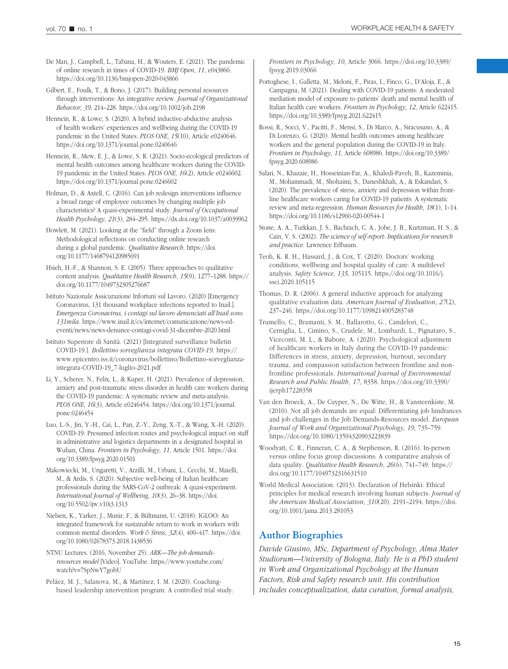De Man, J., Campbell, L., Tabana, H., & Wouters, E. (2021). The pandemic of online research in times of COVID-19. *BMJ Open*, *11*, e043866. <https://doi.org/10.1136/bmjopen-2020-043866>

Gilbert, E., Foulk, T., & Bono, J. (2017). Building personal resources through interventions: An integrative review. *Journal of Organizational Behavior*, *39*, 214–228. <https://doi.org/10.1002/job.2198>

Hennein, R., & Lowe, S. (2020). A hybrid inductive-abductive analysis of health workers' experiences and wellbeing during the COVID-19 pandemic in the United States. *PLOS ONE*, *15*(10), Article e0240646. <https://doi.org/10.1371/journal.pone.0240646>

Hennein, R., Mew, E. J., & Lowe, S. R. (2021). Socio-ecological predictors of mental health outcomes among healthcare workers during the COVID-19 pandemic in the United States. *PLOS ONE*, *16*(2), Article e0246602. <https://doi.org/10.1371/journal.pone.0246602>

Holman, D., & Axtell, C. (2016). Can job redesign interventions influence a broad range of employee outcomes by changing multiple job characteristics? A quasi-experimental study. *Journal of Occupational Health Psychology*, *21*(3), 284–295. <https://dx.doi.org/10.1037/a0039962>

Howlett, M. (2021). Looking at the "field" through a Zoom lens: Methodological reflections on conducting online research during a global pandemic. *Qualitative Research*. [https://doi.](https://doi.org/10.1177/1468794120985691) [org/10.1177/1468794120985691](https://doi.org/10.1177/1468794120985691)

Hsieh, H.-F., & Shannon, S. E. (2005). Three approaches to qualitative content analysis. *Qualitative Health Research*, *15*(9), 1277–1288. [https://](https://doi.org/10.1177/1049732305276687) [doi.org/10.1177/1049732305276687](https://doi.org/10.1177/1049732305276687)

Istituto Nazionale Assicurazione Infortuni sul Lavoro. (2020) [Emergency Coronavirus, 131 thousand workplace infections reported to Inail.]. *Emergenza Coronavirus, i contagi sul lavoro denunciati all'Inail sono 131mila*. [https://www.inail.it/cs/internet/comunicazione/news-ed](https://www.inail.it/cs/internet/comunicazione/news-ed-eventi/news/news-denunce-contagi-covid-31-dicembre-2020.html)[eventi/news/news-denunce-contagi-covid-31-dicembre-2020.html](https://www.inail.it/cs/internet/comunicazione/news-ed-eventi/news/news-denunce-contagi-covid-31-dicembre-2020.html)

Istituto Superiore di Sanità. (2021) [Integrated surveillance bulletin COVID-19.]. *Bollettino sorveglianza integrata COVID-19*. [https://](https://www.epicentro.iss.it/coronavirus/bollettino/Bollettino-sorveglianza-integrata-COVID-19_7-luglio-2021.pdf) [www.epicentro.iss.it/coronavirus/bollettino/Bollettino-sorveglianza](https://www.epicentro.iss.it/coronavirus/bollettino/Bollettino-sorveglianza-integrata-COVID-19_7-luglio-2021.pdf)[integrata-COVID-19\\_7-luglio-2021.pdf](https://www.epicentro.iss.it/coronavirus/bollettino/Bollettino-sorveglianza-integrata-COVID-19_7-luglio-2021.pdf)

Li, Y., Scherer, N., Felix, L., & Kuper, H. (2021). Prevalence of depression, anxiety and post-traumatic stress disorder in health care workers during the COVID-19 pandemic: A systematic review and meta-analysis. *PLOS ONE*, *16*(3), Article e0246454. [https://doi.org/10.1371/journal.](https://doi.org/10.1371/journal.pone.0246454) [pone.0246454](https://doi.org/10.1371/journal.pone.0246454)

Luo, L.-S., Jin, Y.-H., Cai, L., Pan, Z.-Y., Zeng, X.-T., & Wang, X.-H. (2020). COVID-19: Presumed infection routes and psychological impact on staff in administrative and logistics departments in a designated hospital in Wuhan, China. *Frontiers in Psychology*, *11*, Article 1501. [https://doi.](https://doi.org/10.3389/fpsyg.2020.01501) [org/10.3389/fpsyg.2020.01501](https://doi.org/10.3389/fpsyg.2020.01501)

Makowiecki, M., Ungaretti, V., Arzilli, M., Urbani, L., Cecchi, M., Maielli, M., & Ardis, S. (2020). Subjective well-being of Italian healthcare professionals during the SARS-CoV-2 outbreak: A quasi-experiment. *International Journal of Wellbeing*, *10*(3), 26–38. [https://doi.](https://doi.org/10.5502/ijw.v10i3.1313) [org/10.5502/ijw.v10i3.1313](https://doi.org/10.5502/ijw.v10i3.1313)

Nielsen, K., Yarker, J., Munir, F., & Bültmann, U. (2018). IGLOO: An integrated framework for sustainable return to work in workers with common mental disorders. *Work & Stress*, *32*(4), 400–417. [https://doi.](https://doi.org/10.1080/02678373.2018.1438536) [org/10.1080/02678373.2018.1438536](https://doi.org/10.1080/02678373.2018.1438536)

NTNU Lectures. (2016, November 25). *ARK—The job demandsresources model* [Video]. YouTube. [https://www.youtube.com/](https://www.youtube.com/watch?v=7SpNwY7gobU) [watch?v=7SpNwY7gobU](https://www.youtube.com/watch?v=7SpNwY7gobU)

Peláez, M. J., Salanova, M., & Martínez, I. M. (2020). Coachingbased leadership intervention program: A controlled trial study. *Frontiers in Psychology*, *10*, Article 3066. [https://doi.org/10.3389/](https://doi.org/10.3389/fpsyg.2019.03066) [fpsyg.2019.03066](https://doi.org/10.3389/fpsyg.2019.03066)

Portoghese, I., Galletta, M., Meloni, F., Piras, I., Finco, G., D'Aloja, E., & Campagna, M. (2021). Dealing with COVID-19 patients: A moderated mediation model of exposure to patients' death and mental health of Italian health care workers. *Frontiers in Psychology*, *12*, Article 622415. <https://doi.org/10.3389/fpsyg.2021.622415>

Rossi, R., Socci, V., Pacitti, F., Mensi, S., Di Marco, A., Siracusano, A., & Di Lorenzo, G. (2020). Mental health outcomes among healthcare workers and the general population during the COVID-19 in Italy. *Frontiers in Psychology*, *11*, Article 608986. [https://doi.org/10.3389/](https://doi.org/10.3389/fpsyg.2020.608986) [fpsyg.2020.608986](https://doi.org/10.3389/fpsyg.2020.608986)

Salari, N., Khazaie, H., Hosseinian-Far, A., Khaledi-Paveh, B., Kazeminia, M., Mohammadi, M., Shohaimi, S., Daneshkhah, A., & Eskandari, S. (2020). The prevalence of stress, anxiety and depression within frontline healthcare workers caring for COVID-19 patients: A systematic review and meta-regression. *Human Resources for Health*, *18*(1), 1–14. <https://doi.org/10.1186/s12960-020-00544-1>

Stone, A. A., Turkkan, J. S., Bachrach, C. A., Jobe, J. B., Kurtzman, H. S., & Cain, V. S. (2002). *The science of self-report: Implications for research and practice*. Lawrence Erlbaum.

Teoh, K. R. H., Hassard, J., & Cox, T. (2020). Doctors' working conditions, wellbeing and hospital quality of care: A multilevel analysis. *Safety Science*, *135*, 105115. [https://doi.org/10.1016/j.](https://doi.org/10.1016/j.ssci.2020.105115) [ssci.2020.105115](https://doi.org/10.1016/j.ssci.2020.105115)

Thomas, D. R. (2006). A general inductive approach for analyzing qualitative evaluation data. *American Journal of Evaluation*, *27*(2), 237–246. <https://doi.org/10.1177/1098214005283748>

Trumello, C., Bramanti, S. M., Ballarotto, G., Candelori, C., Cerniglia, L., Cimino, S., Crudele, M., Lombardi, L., Pignataro, S., Viceconti, M. L., & Babore, A. (2020). Psychological adjustment of healthcare workers in Italy during the COVID-19 pandemic: Differences in stress, anxiety, depression, burnout, secondary trauma, and compassion satisfaction between frontline and nonfrontline professionals. *International Journal of Environmental Research and Public Health*, *17*, 8358. [https://doi.org/10.3390/](https://doi.org/10.3390/ijerph17228358) [ijerph17228358](https://doi.org/10.3390/ijerph17228358)

Van den Broeck, A., De Cuyper, N., De Witte, H., & Vansteenkiste, M. (2010). Not all job demands are equal: Differentiating job hindrances and job challenges in the Job Demands-Resources model. *European Journal of Work and Organizational Psychology*, *19*, 735–759. <https://doi.org/10.1080/13594320903223839>

Woodyatt, C. R., Finneran, C. A., & Stephenson, R. (2016). In-person versus online focus group discussions: A comparative analysis of data quality. *Qualitative Health Research*, *26*(6), 741–749. [https://](https://doi.org/10.1177/1049732316631510) [doi.org/10.1177/1049732316631510](https://doi.org/10.1177/1049732316631510)

World Medical Association. (2013). Declaration of Helsinki: Ethical principles for medical research involving human subjects. *Journal of the American Medical Association*, *310*(20), 2191–2194. [https://doi.](https://doi.org/10.1001/jama.2013.281053) [org/10.1001/jama.2013.281053](https://doi.org/10.1001/jama.2013.281053)

## **Author Biographies**

*Davide Giusino, MSc, Department of Psychology, Alma Mater Studiorum—University of Bologna, Italy. He is a PhD student in Work and Organizational Psychology at the Human Factors, Risk and Safety research unit. His contribution includes conceptualization, data curation, formal analysis,*